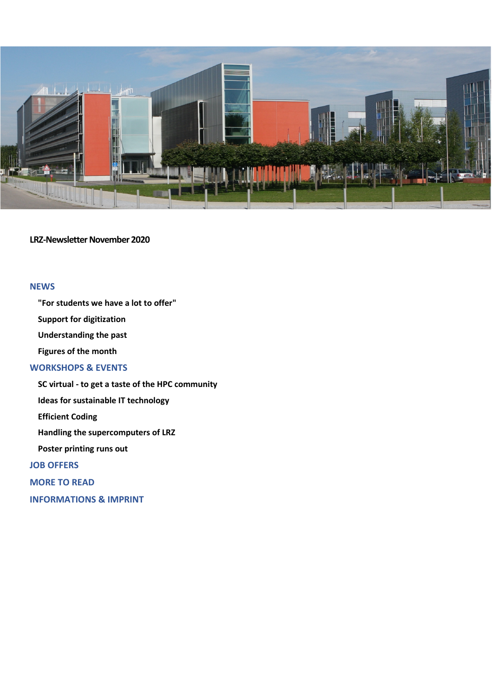

**LRZ-Newsletter November 2020**

# **[NEWS](#page-1-0)**

**["For students we have a lot to offer"](#page-1-1)**

**[Support for digitization](#page-1-2)**

**[Understanding the past](#page-2-0)**

**[Figures of the month](#page-3-0)**

## **[WORKSHOPS & EVENTS](#page-3-1)**

**SC virtual - [to get a taste of the HPC community](#page-3-2)**

**[Ideas for sustainable IT technology](#page-3-3)**

**[Efficient Coding](#page-4-0)**

**[Handling the supercomputers of LRZ](#page-4-1)**

**[Poster printing runs out](#page-4-2)**

**[JOB OFFERS](#page-4-3)**

**[MORE TO READ](#page-5-0)**

**[INFORMATIONS & IMPRINT](#page-5-1)**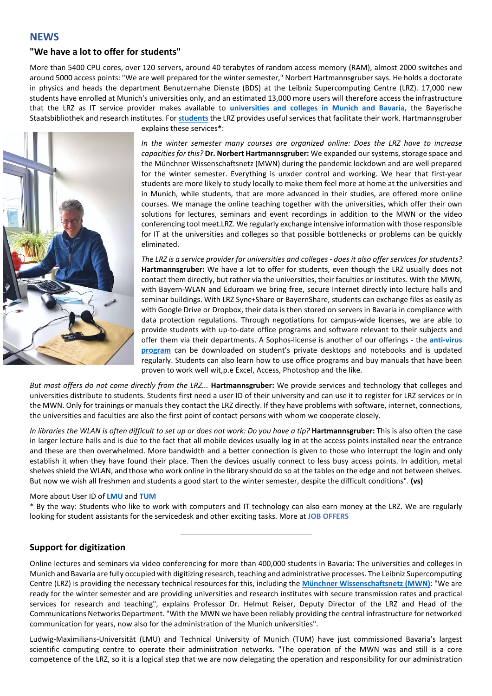## <span id="page-1-0"></span>**NEWS**

### <span id="page-1-1"></span>**"We have a lot to offer for students"**

More than 5400 CPU cores, over 120 servers, around 40 terabytes of random access memory (RAM), almost 2000 switches and around 5000 access points: "We are well prepared for the winter semester," Norbert Hartmannsgruber says. He holds a doctorate in physics and heads the department Benutzernahe Dienste (BDS) at the Leibniz Supercomputing Centre (LRZ). 17,000 new students have enrolled at Munich's universities only, and an estimated 13,000 more users will therefore access the infrastructure that the LRZ as IT service provider makes available to **[universities and colleges in Munich and Bavaria,](https://www.lrz.de/info/uni-info/)** the Bayerische Staatsbibliothek and research institutes. For **[students](https://www.lrz.de/info/studenten/)** the LRZ provides useful services that facilitate their work. Hartmannsgruber



explains these services**\***:

*In the winter semester many courses are organized online: Does the LRZ have to increase capacities for this?* **Dr. Norbert Hartmannsgruber:** We expanded our systems, storage space and the Münchner Wissenschaftsnetz (MWN) during the pandemic lockdown and are well prepared for the winter semester. Everything is unxder control and working. We hear that first-year students are more likely to study locally to make them feel more at home at the universities and in Munich, while students, that are more advanced in their studies, are offered more online courses. We manage the online teaching together with the universities, which offer their own solutions for lectures, seminars and event recordings in addition to the MWN or the video conferencing tool meet.LRZ. We regularly exchange intensive information with those responsible for IT at the universities and colleges so that possible bottlenecks or problems can be quickly eliminated.

*The LRZ is a service provider for universities and colleges - does it also offer services for students?* **Hartmannsgruber:** We have a lot to offer for students, even though the LRZ usually does not contact them directly, but rather via the universities, their faculties or institutes. With the MWN, with Bayern-WLAN and Eduroam we bring free, secure Internet directly into lecture halls and seminar buildings. With LRZ Sync+Share or BayernShare, students can exchange files as easily as with Google Drive or Dropbox, their data is then stored on servers in Bavaria in compliance with data protection regulations. Through negotiations for campus-wide licenses, we are able to provide students with up-to-date office programs and software relevant to their subjects and offer them via their departments. A Sophos-license is another of our offerings - the **[anti-virus](https://doku.lrz.de/display/PUBLIC/Sicherheit+Antivirus)  [program](https://doku.lrz.de/display/PUBLIC/Sicherheit+Antivirus)** can be downloaded on student's private desktops and notebooks and is updated regularly. Students can also learn how to use office programs and buy manuals that have been proven to work well wit,p.e Excel, Access, Photoshop and the like.

*But most offers do not come directly from the LRZ...* **Hartmannsgruber:** We provide services and technology that colleges and universities distribute to students. Students first need a user ID of their university and can use it to register for LRZ services or in the MWN. Only for trainings or manuals they contact the LRZ directly. If they have problems with software, internet, connections, the universities and faculties are also the first point of contact persons with whom we cooperate closely.

*In libraries the WLAN is often difficult to set up or does not work: Do you have a tip?* **Hartmannsgruber:** This is also often the case in larger lecture halls and is due to the fact that all mobile devices usually log in at the access points installed near the entrance and these are then overwhelmed. More bandwidth and a better connection is given to those who interrupt the login and only establish it when they have found their place. Then the devices usually connect to less busy access points. In addition, metal shelves shield the WLAN, and those who work online in the library should do so at the tables on the edge and not between shelves. But now we wish all freshmen and students a good start to the winter semester, despite the difficult conditions". **(vs)**

#### More about User ID of **[LMU](https://www.it-servicedesk.uni-muenchen.de/lmu-benutzerkennung/index.html)** and **[TUM](https://www.it.tum.de/it-support/)**

\* By the way: Students who like to work with computers and IT technology can also earn money at the LRZ. We are regularly looking for student assistants for the servicedesk and other exciting tasks. More at **[JOB OFFERS](#page-4-3)**

### <span id="page-1-2"></span>**Support for digitization**

Online lectures and seminars via video conferencing for more than 400,000 students in Bavaria: The universities and colleges in Munich and Bavaria are fully occupied with digitizing research, teaching and administrative processes. The Leibniz Supercomputing Centre (LRZ) is providing the necessary technical resources for this, including the **[Münchner Wissenschaftsnetz \(MWN\)](https://www.lrz.de/services/netz/)**: "We are ready for the winter semester and are providing universities and research institutes with secure transmission rates and practical services for research and teaching", explains Professor Dr. Helmut Reiser, Deputy Director of the LRZ and Head of the Communications Networks Department. "With the MWN we have been reliably providing the central infrastructure for networked communication for years, now also for the administration of the Munich universities".

Ludwig-Maximilians-Universität (LMU) and Technical University of Munich (TUM) have just commissioned Bavaria's largest scientific computing centre to operate their administration networks. "The operation of the MWN was and still is a core competence of the LRZ, so it is a logical step that we are now delegating the operation and responsibility for our administration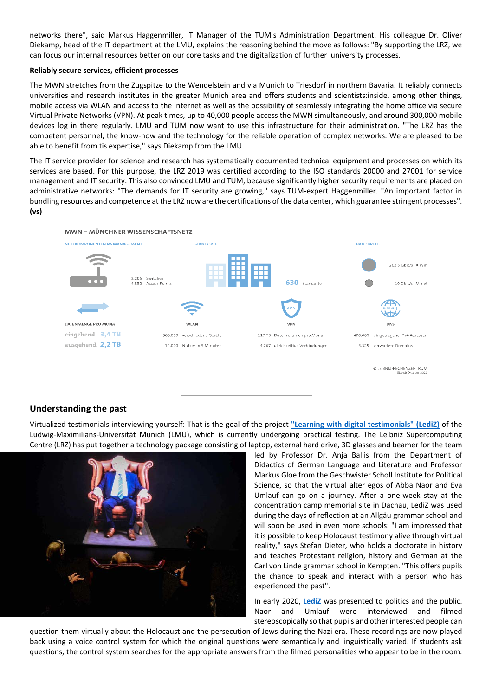networks there", said Markus Haggenmiller, IT Manager of the TUM's Administration Department. His colleague Dr. Oliver Diekamp, head of the IT department at the LMU, explains the reasoning behind the move as follows: "By supporting the LRZ, we can focus our internal resources better on our core tasks and the digitalization of further university processes.

#### **Reliably secure services, efficient processes**

The MWN stretches from the Zugspitze to the Wendelstein and via Munich to Triesdorf in northern Bavaria. It reliably connects universities and research institutes in the greater Munich area and offers students and scientists:inside, among other things, mobile access via WLAN and access to the Internet as well as the possibility of seamlessly integrating the home office via secure Virtual Private Networks (VPN). At peak times, up to 40,000 people access the MWN simultaneously, and around 300,000 mobile devices log in there regularly. LMU and TUM now want to use this infrastructure for their administration. "The LRZ has the competent personnel, the know-how and the technology for the reliable operation of complex networks. We are pleased to be able to benefit from tis expertise," says Diekamp from the LMU.

The IT service provider for science and research has systematically documented technical equipment and processes on which its services are based. For this purpose, the LRZ 2019 was certified according to the ISO standards 20000 and 27001 for service management and IT security. This also convinced LMU and TUM, because significantly higher security requirements are placed on administrative networks: "The demands for IT security are growing," says TUM-expert Haggenmiller. "An important factor in bundling resources and competence at the LRZ now are the certifications of the data center, which guarantee stringent processes". **(vs)**



### <span id="page-2-0"></span>**Understanding the past**

Virtualized testimonials interviewing yourself: That is the goal of the project **["Learning with digital testimonials" \(LediZ\)](https://www.lrz.de/presse/ereignisse/2020-01-22_LediZ-_ENG_/)** of the Ludwig-Maximilians-Universität Munich (LMU), which is currently undergoing practical testing. The Leibniz Supercomputing Centre (LRZ) has put together a technology package consisting of laptop, external hard drive, 3D glasses and beamer for the team



led by Professor Dr. Anja Ballis from the Department of Didactics of German Language and Literature and Professor Markus Gloe from the Geschwister Scholl Institute for Political Science, so that the virtual alter egos of Abba Naor and Eva Umlauf can go on a journey. After a one-week stay at the concentration camp memorial site in Dachau, LediZ was used during the days of reflection at an Allgäu grammar school and will soon be used in even more schools: "I am impressed that it is possible to keep Holocaust testimony alive through virtual reality," says Stefan Dieter, who holds a doctorate in history and teaches Protestant religion, history and German at the Carl von Linde grammar school in Kempten. "This offers pupils the chance to speak and interact with a person who has experienced the past".

In early 2020, **[LediZ](https://www.lediz.uni-muenchen.de/projekt-lediz/multiplikation/index.html)** was presented to politics and the public. Naor and Umlauf were interviewed and filmed stereoscopically so that pupils and other interested people can

question them virtually about the Holocaust and the persecution of Jews during the Nazi era. These recordings are now played back using a voice control system for which the original questions were semantically and linguistically varied. If students ask questions, the control system searches for the appropriate answers from the filmed personalities who appear to be in the room.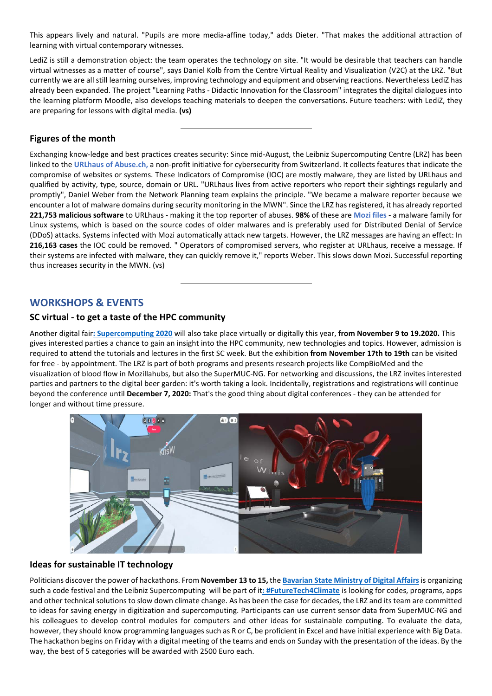This appears lively and natural. "Pupils are more media-affine today," adds Dieter. "That makes the additional attraction of learning with virtual contemporary witnesses.

LediZ is still a demonstration object: the team operates the technology on site. "It would be desirable that teachers can handle virtual witnesses as a matter of course", says Daniel Kolb from the Centre Virtual Reality and Visualization (V2C) at the LRZ. "But currently we are all still learning ourselves, improving technology and equipment and observing reactions. Nevertheless LediZ has already been expanded. The project "Learning Paths - Didactic Innovation for the Classroom" integrates the digital dialogues into the learning platform Moodle, also develops teaching materials to deepen the conversations. Future teachers: with LediZ, they are preparing for lessons with digital media. **(vs)**

## <span id="page-3-0"></span>**Figures of the month**

Exchanging know-ledge and best practices creates security: Since mid-August, the Leibniz Supercomputing Centre (LRZ) has been linked to the **[URLhaus of Abuse.ch,](https://urlhaus.abuse.ch/statistics/)** a non-profit initiative for cybersecurity from Switzerland. It collects features that indicate the compromise of websites or systems. These Indicators of Compromise (IOC) are mostly malware, they are listed by URLhaus and qualified by activity, type, source, domain or URL. "URLhaus lives from active reporters who report their sightings regularly and promptly", Daniel Weber from the Network Planning team explains the principle. "We became a malware reporter because we encounter a lot of malware domains during security monitoring in the MWN". Since the LRZ has registered, it has already reported **221,753 malicious software** to URLhaus - making it the top reporter of abuses. **98%** of these are **[Mozi files](https://urlhaus.abuse.ch/browse/tag/Mozi/)** - a malware family for Linux systems, which is based on the source codes of older malwares and is preferably used for Distributed Denial of Service (DDoS) attacks. Systems infected with Mozi automatically attack new targets. However, the LRZ messages are having an effect: In **216,163 cases** the IOC could be removed. " Operators of compromised servers, who register at URLhaus, receive a message. If their systems are infected with malware, they can quickly remove it," reports Weber. This slows down Mozi. Successful reporting thus increases security in the MWN. (vs)

# <span id="page-3-1"></span>**WORKSHOPS & EVENTS**

### <span id="page-3-2"></span>**SC virtual - to get a taste of the HPC community**

Another digital fair**[: Supercomputing 2020](https://sc20.supercomputing.org/)** will also take place virtually or digitally this year, **from November 9 to 19.2020.** This gives interested parties a chance to gain an insight into the HPC community, new technologies and topics. However, admission is required to attend the tutorials and lectures in the first SC week. But the exhibition **from November 17th to 19th** can be visited for free - by appointment. The LRZ is part of both programs and presents research projects like CompBioMed and the visualization of blood flow in Mozillahubs, but also the SuperMUC-NG. For networking and discussions, the LRZ invites interested parties and partners to the digital beer garden: it's worth taking a look. Incidentally, registrations and registrations will continue beyond the conference until **December 7, 2020:** That's the good thing about digital conferences - they can be attended for longer and without time pressure.



### <span id="page-3-3"></span>**Ideas for sustainable IT technology**

Politicians discover the power of hackathons. From **November 13 to 15,** the **Bavarian State [Ministry of Digital Affairs](https://www.stmd.bayern.de/)**is organizing such a code festival and the Leibniz Supercomputing will be part of it**[: #FutureTech4Climate](https://code-bavaria.de/ueberblick)** is looking for codes, programs, apps and other technical solutions to slow down climate change. As has been the case for decades, the LRZ and its team are committed to ideas for saving energy in digitization and supercomputing. Participants can use current sensor data from SuperMUC-NG and his colleagues to develop control modules for computers and other ideas for sustainable computing. To evaluate the data, however, they should know programming languages such as R or C, be proficient in Excel and have initial experience with Big Data. The hackathon begins on Friday with a digital meeting of the teams and ends on Sunday with the presentation of the ideas. By the way, the best of 5 categories will be awarded with 2500 Euro each.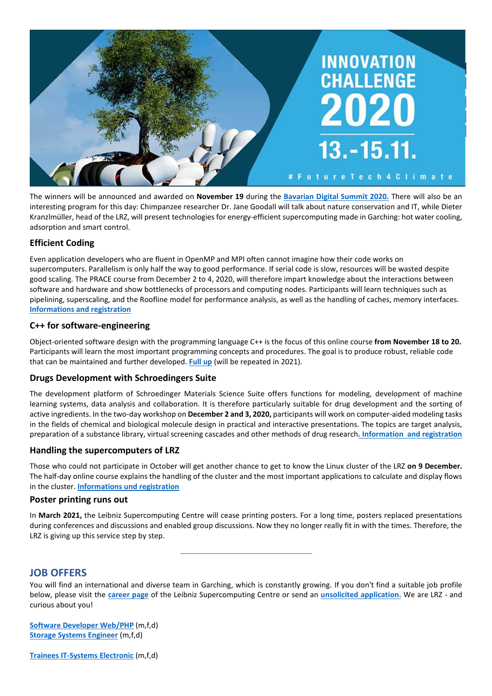

The winners will be announced and awarded on **November 19** during the **[Bavarian Digital Summit 2020.](https://code-bavaria.de/digitalgipfel2020)** There will also be an interesting program for this day: Chimpanzee researcher Dr. Jane Goodall will talk about nature conservation and IT, while Dieter Kranzlmüller, head of the LRZ, will present technologies for energy-efficient supercomputing made in Garching: hot water cooling, adsorption and smart control.

## <span id="page-4-0"></span>**Efficient Coding**

Even application developers who are fluent in OpenMP and MPI often cannot imagine how their code works on supercomputers. Parallelism is only half the way to good performance. If serial code is slow, resources will be wasted despite good scaling. The PRACE course from December 2 to 4, 2020, will therefore impart knowledge about the interactions between software and hardware and show bottlenecks of processors and computing nodes. Participants will learn techniques such as pipelining, superscaling, and the Roofline model for performance analysis, as well as the handling of caches, memory interfaces. **[Informations and registration](https://www.lrz.de/services/compute/courses/2020-12-09_hcfd3w20/)**

### **C++ for software-engineering**

Object-oriented software design with the programming language C++ is the focus of this online course **from November 18 to 20.** Participants will learn the most important programming concepts and procedures. The goal is to produce robust, reliable code that can be maintained and further developed. **[Full up](https://www.lrz.de/services/compute/courses/2020-11-18_hcpa1w20/)** (will be repeated in 2021).

### **Drugs Development with Schroedingers Suite**

The development platform of Schroedinger Materials Science Suite offers functions for modeling, development of machine learning systems, data analysis and collaboration. It is therefore particularly suitable for drug development and the sorting of active ingredients. In the two-day workshop on **December 2 and 3, 2020,** participants will work on computer-aided modeling tasks in the fields of chemical and biological molecule design in practical and interactive presentations. The topics are target analysis, preparation of a substance library, virtual screening cascades and other methods of drug research**[. Information and registration](https://www.lrz.de/services/compute/courses/2020-12-02_hmms1w20/)**

### <span id="page-4-1"></span>**Handling the supercomputers of LRZ**

Those who could not participate in October will get another chance to get to know the Linux cluster of the LRZ **on 9 December.** The half-day online course explains the handling of the cluster and the most important applications to calculate and display flows in the cluster. **Informations [und registration](https://www.lrz.de/services/compute/courses/2020-12-09_hcfd3w20/)**

### <span id="page-4-2"></span>**Poster printing runs out**

In **March 2021,** the Leibniz Supercomputing Centre will cease printing posters. For a long time, posters replaced presentations during conferences and discussions and enabled group discussions. Now they no longer really fit in with the times. Therefore, the LRZ is giving up this service step by step.

## <span id="page-4-3"></span>**JOB OFFERS**

You will find an international and diverse team in Garching, which is constantly growing. If you don't find a suitable job profile below, please visit the **[career page](https://www.lrz.de/wir/stellen/)** of the Leibniz Supercomputing Centre or send an **[unsolicited application.](https://www.lrz.de/wir/stellen/2012_initiativ/)** We are LRZ - and curious about you!

**[Software Developer Web/PHP](https://www.lrz.de/wir/stellen/2020-34_SW-Entwickler/)** (m,f,d) **[Storage Systems Engineer](https://www.lrz.de/wir/stellen/2020-24_storage/)** (m,f,d)

**[Trainees IT-Systems Electronic](https://www.lrz.de/wir/stellen/2020-32_Azubi_ITSE/)** (m,f,d)